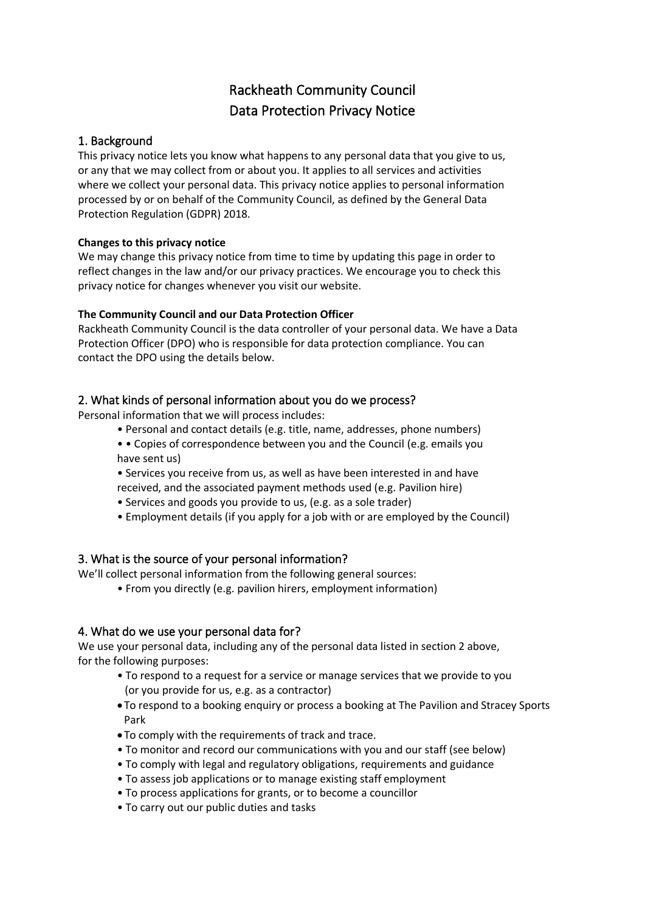# Rackheath Community Council Data Protection Privacy Notice

## 1. Background

This privacy notice lets you know what happens to any personal data that you give to us, or any that we may collect from or about you. It applies to all services and activities where we collect your personal data. This privacy notice applies to personal information processed by or on behalf of the Community Council, as defined by the General Data Protection Regulation (GDPR) 2018.

#### **Changes to this privacy notice**

We may change this privacy notice from time to time by updating this page in order to reflect changes in the law and/or our privacy practices. We encourage you to check this privacy notice for changes whenever you visit our website.

## **The Community Council and our Data Protection Officer**

Rackheath Community Council is the data controller of your personal data. We have a Data Protection Officer (DPO) who is responsible for data protection compliance. You can contact the DPO using the details below.

## 2. What kinds of personal information about you do we process?

Personal information that we will process includes:

- Personal and contact details (e.g. title, name, addresses, phone numbers)
- • Copies of correspondence between you and the Council (e.g. emails you have sent us)
- Services you receive from us, as well as have been interested in and have received, and the associated payment methods used (e.g. Pavilion hire)
- Services and goods you provide to us, (e.g. as a sole trader)
- Employment details (if you apply for a job with or are employed by the Council)

# 3. What is the source of your personal information?

We'll collect personal information from the following general sources:

• From you directly (e.g. pavilion hirers, employment information)

# 4. What do we use your personal data for?

We use your personal data, including any of the personal data listed in section 2 above, for the following purposes:

- To respond to a request for a service or manage services that we provide to you (or you provide for us, e.g. as a contractor)
- To respond to a booking enquiry or process a booking at The Pavilion and Stracey Sports Park
- To comply with the requirements of track and trace.
- To monitor and record our communications with you and our staff (see below)
- To comply with legal and regulatory obligations, requirements and guidance
- To assess job applications or to manage existing staff employment
- To process applications for grants, or to become a councillor
- To carry out our public duties and tasks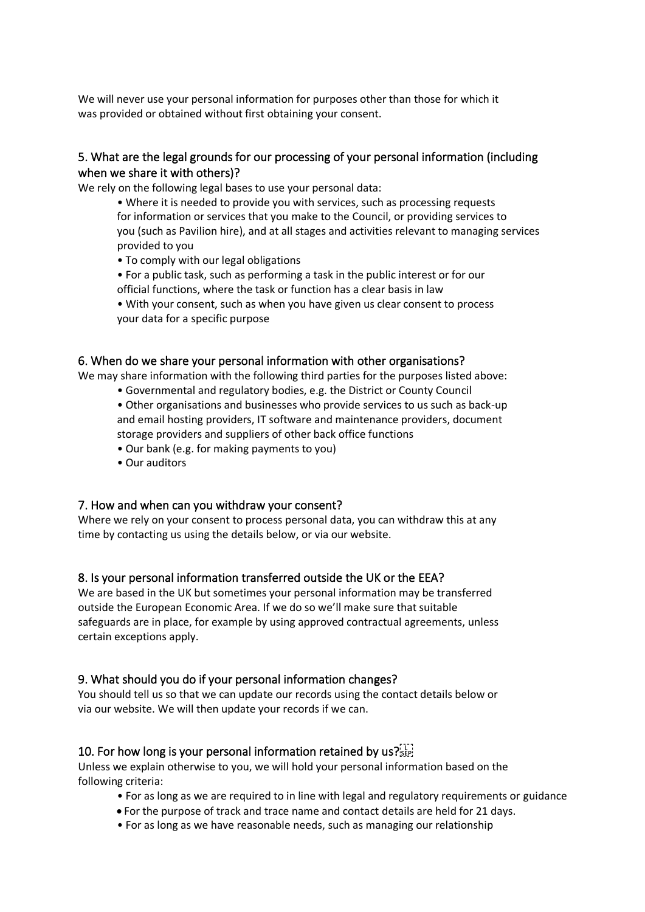We will never use your personal information for purposes other than those for which it was provided or obtained without first obtaining your consent.

## 5. What are the legal grounds for our processing of your personal information (including when we share it with others)?

We rely on the following legal bases to use your personal data:

• Where it is needed to provide you with services, such as processing requests for information or services that you make to the Council, or providing services to you (such as Pavilion hire), and at all stages and activities relevant to managing services provided to you

• To comply with our legal obligations

• For a public task, such as performing a task in the public interest or for our official functions, where the task or function has a clear basis in law

• With your consent, such as when you have given us clear consent to process your data for a specific purpose

#### 6. When do we share your personal information with other organisations?

We may share information with the following third parties for the purposes listed above:

• Governmental and regulatory bodies, e.g. the District or County Council

• Other organisations and businesses who provide services to us such as back-up and email hosting providers, IT software and maintenance providers, document storage providers and suppliers of other back office functions

- Our bank (e.g. for making payments to you)
- Our auditors

# 7. How and when can you withdraw your consent?

Where we rely on your consent to process personal data, you can withdraw this at any time by contacting us using the details below, or via our website.

# 8. Is your personal information transferred outside the UK or the EEA?

We are based in the UK but sometimes your personal information may be transferred outside the European Economic Area. If we do so we'll make sure that suitable safeguards are in place, for example by using approved contractual agreements, unless certain exceptions apply.

# 9. What should you do if your personal information changes?

You should tell us so that we can update our records using the contact details below or via our website. We will then update your records if we can.

# 10. For how long is your personal information retained by us?

Unless we explain otherwise to you, we will hold your personal information based on the following criteria:

- For as long as we are required to in line with legal and regulatory requirements or guidance
- For the purpose of track and trace name and contact details are held for 21 days.
- For as long as we have reasonable needs, such as managing our relationship